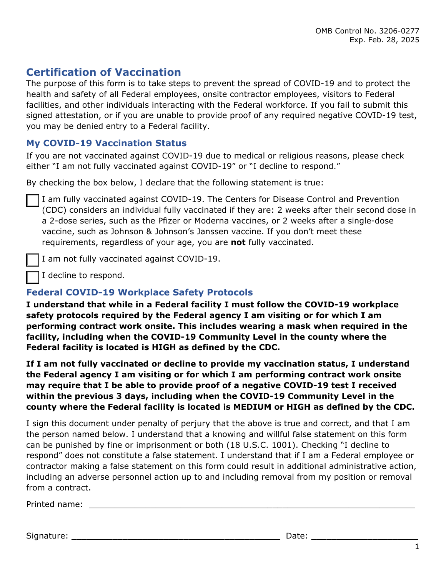# **Certification of Vaccination**

The purpose of this form is to take steps to prevent the spread of COVID-19 and to protect the health and safety of all Federal employees, onsite contractor employees, visitors to Federal facilities, and other individuals interacting with the Federal workforce. If you fail to submit this signed attestation, or if you are unable to provide proof of any required negative COVID-19 test, you may be denied entry to a Federal facility.

# **My COVID-19 Vaccination Status**

If you are not vaccinated against COVID-19 due to medical or religious reasons, please check either "I am not fully vaccinated against COVID-19" or "I decline to respond."

By checking the box below, I declare that the following statement is true:

I am fully vaccinated against COVID-19. The Centers for Disease Control and Prevention (CDC) considers an individual fully vaccinated if they are: 2 weeks after their second dose in a 2-dose series, such as the Pfizer or Moderna vaccines, or 2 weeks after a single-dose vaccine, such as Johnson & Johnson's Janssen vaccine. If you don't meet these requirements, regardless of your age, you are **not** fully vaccinated.

I am not fully vaccinated against COVID-19.

I decline to respond.

# **Federal COVID-19 Workplace Safety Protocols**

**I understand that while in a Federal facility I must follow the COVID-19 workplace safety protocols required by the Federal agency I am visiting or for which I am performing contract work onsite. This includes wearing a mask when required in the facility, including when the COVID-19 Community Level in the county where the Federal facility is located is HIGH as defined by the CDC.** 

**If I am not fully vaccinated or decline to provide my vaccination status, I understand the Federal agency I am visiting or for which I am performing contract work onsite may require that I be able to provide proof of a negative COVID-19 test I received within the previous 3 days, including when the COVID-19 Community Level in the county where the Federal facility is located is MEDIUM or HIGH as defined by the CDC.**

I sign this document under penalty of perjury that the above is true and correct, and that I am the person named below. I understand that a knowing and willful false statement on this form can be punished by fine or imprisonment or both (18 U.S.C. 1001). Checking "I decline to respond" does not constitute a false statement. I understand that if I am a Federal employee or contractor making a false statement on this form could result in additional administrative action, including an adverse personnel action up to and including removal from my position or removal from a contract.

Printed name:

Signature: \_\_\_\_\_\_\_\_\_\_\_\_\_\_\_\_\_\_\_\_\_\_\_\_\_\_\_\_\_\_\_\_\_\_\_\_\_\_\_\_\_ Date: \_\_\_\_\_\_\_\_\_\_\_\_\_\_\_\_\_\_\_\_\_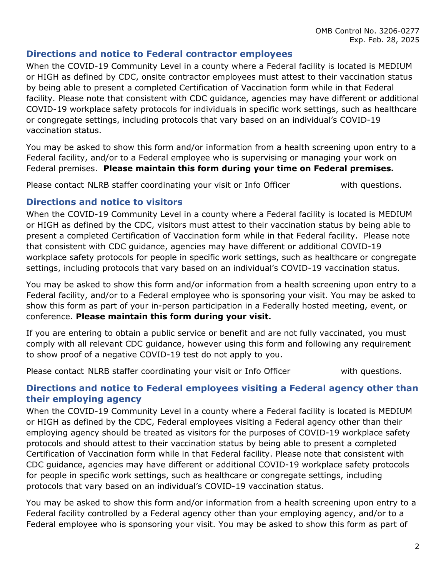### **Directions and notice to Federal contractor employees**

When the COVID-19 Community Level in a county where a Federal facility is located is MEDIUM or HIGH as defined by CDC, onsite contractor employees must attest to their vaccination status by being able to present a completed Certification of Vaccination form while in that Federal facility. Please note that consistent with CDC guidance, agencies may have different or additional COVID-19 workplace safety protocols for individuals in specific work settings, such as healthcare or congregate settings, including protocols that vary based on an individual's COVID-19 vaccination status.

You may be asked to show this form and/or information from a health screening upon entry to a Federal facility, and/or to a Federal employee who is supervising or managing your work on Federal premises. **Please maintain this form during your time on Federal premises.**

Please contact NLRB staffer coordinating your visit or Info Officer **Soluty 10** with questions.

#### **Directions and notice to visitors**

When the COVID-19 Community Level in a county where a Federal facility is located is MEDIUM or HIGH as defined by the CDC, visitors must attest to their vaccination status by being able to present a completed Certification of Vaccination form while in that Federal facility. Please note that consistent with CDC guidance, agencies may have different or additional COVID-19 workplace safety protocols for people in specific work settings, such as healthcare or congregate settings, including protocols that vary based on an individual's COVID-19 vaccination status.

You may be asked to show this form and/or information from a health screening upon entry to a Federal facility, and/or to a Federal employee who is sponsoring your visit. You may be asked to show this form as part of your in-person participation in a Federally hosted meeting, event, or conference. **Please maintain this form during your visit.**

If you are entering to obtain a public service or benefit and are not fully vaccinated, you must comply with all relevant CDC guidance, however using this form and following any requirement to show proof of a negative COVID-19 test do not apply to you.

Please contact NLRB staffer coordinating your visit or Info Officer **Source 10** with questions.

### **Directions and notice to Federal employees visiting a Federal agency other than their employing agency**

When the COVID-19 Community Level in a county where a Federal facility is located is MEDIUM or HIGH as defined by the CDC, Federal employees visiting a Federal agency other than their employing agency should be treated as visitors for the purposes of COVID-19 workplace safety protocols and should attest to their vaccination status by being able to present a completed Certification of Vaccination form while in that Federal facility. Please note that consistent with CDC guidance, agencies may have different or additional COVID-19 workplace safety protocols for people in specific work settings, such as healthcare or congregate settings, including protocols that vary based on an individual's COVID-19 vaccination status.

You may be asked to show this form and/or information from a health screening upon entry to a Federal facility controlled by a Federal agency other than your employing agency, and/or to a Federal employee who is sponsoring your visit. You may be asked to show this form as part of